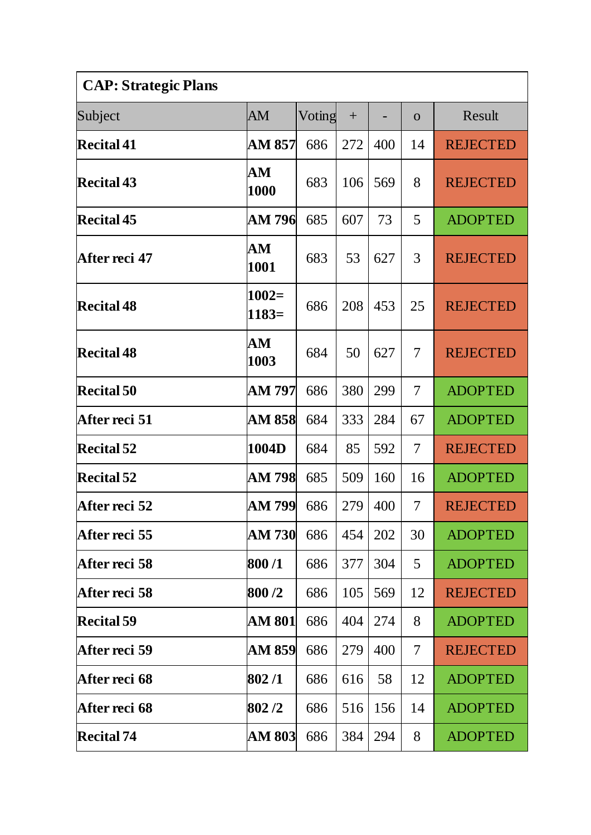| <b>CAP: Strategic Plans</b> |                    |        |     |     |                |                 |  |
|-----------------------------|--------------------|--------|-----|-----|----------------|-----------------|--|
| Subject                     | AM                 | Voting | $+$ |     | $\Omega$       | Result          |  |
| <b>Recital 41</b>           | AM 857             | 686    | 272 | 400 | 14             | <b>REJECTED</b> |  |
| <b>Recital 43</b>           | ${\bf AM}$<br>1000 | 683    | 106 | 569 | 8              | <b>REJECTED</b> |  |
| <b>Recital 45</b>           | AM 796             | 685    | 607 | 73  | 5              | <b>ADOPTED</b>  |  |
| After reci 47               | ${\bf AM}$<br>1001 | 683    | 53  | 627 | 3              | <b>REJECTED</b> |  |
| <b>Recital 48</b>           | $1002=$<br>$1183=$ | 686    | 208 | 453 | 25             | <b>REJECTED</b> |  |
| <b>Recital 48</b>           | ${\bf AM}$<br>1003 | 684    | 50  | 627 | 7              | <b>REJECTED</b> |  |
| <b>Recital 50</b>           | AM 797             | 686    | 380 | 299 | $\overline{7}$ | <b>ADOPTED</b>  |  |
| After reci 51               | AM 858             | 684    | 333 | 284 | 67             | <b>ADOPTED</b>  |  |
| <b>Recital 52</b>           | 1004D              | 684    | 85  | 592 | 7              | <b>REJECTED</b> |  |
| <b>Recital 52</b>           | AM 798             | 685    | 509 | 160 | 16             | <b>ADOPTED</b>  |  |
| After reci 52               | AM 799             | 686    | 279 | 400 | $\overline{7}$ | <b>REJECTED</b> |  |
| After reci 55               | <b>AM 730</b>      | 686    | 454 | 202 | 30             | <b>ADOPTED</b>  |  |
| After reci 58               | 800/1              | 686    | 377 | 304 | 5              | <b>ADOPTED</b>  |  |
| After reci 58               | 800 /2             | 686    | 105 | 569 | 12             | <b>REJECTED</b> |  |
| <b>Recital 59</b>           | AM 801             | 686    | 404 | 274 | 8              | <b>ADOPTED</b>  |  |
| After reci 59               | AM 859             | 686    | 279 | 400 | 7              | <b>REJECTED</b> |  |
| After reci 68               | 802/1              | 686    | 616 | 58  | 12             | <b>ADOPTED</b>  |  |
| After reci 68               | 802/2              | 686    | 516 | 156 | 14             | <b>ADOPTED</b>  |  |
| <b>Recital 74</b>           | <b>AM 803</b>      | 686    | 384 | 294 | 8              | <b>ADOPTED</b>  |  |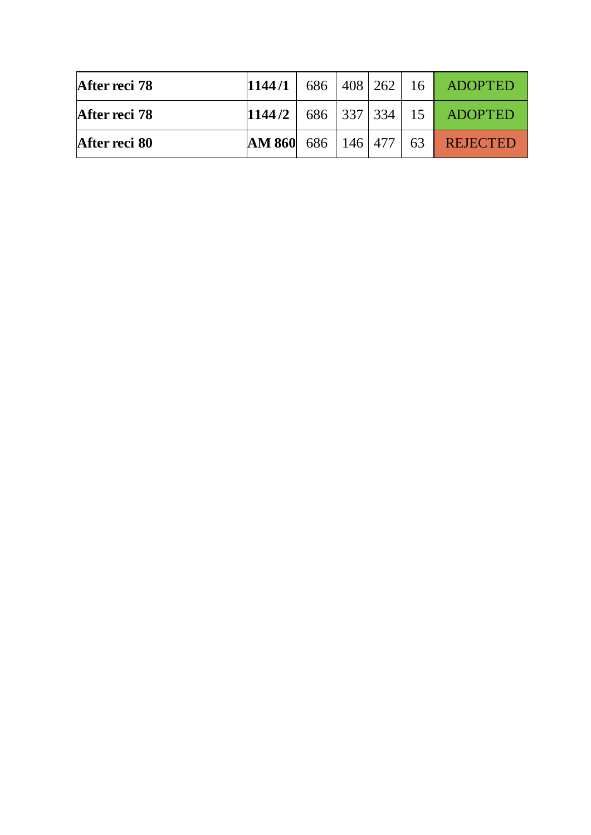| After reci 78 | 1144/1                        |  |  | 686   408   262   16   ADOPTED  |
|---------------|-------------------------------|--|--|---------------------------------|
| After reci 78 |                               |  |  | $1144/2$ 686 337 334 15 ADOPTED |
| After reci 80 | AM 860   686   146   477   63 |  |  | <b>REJECTED</b>                 |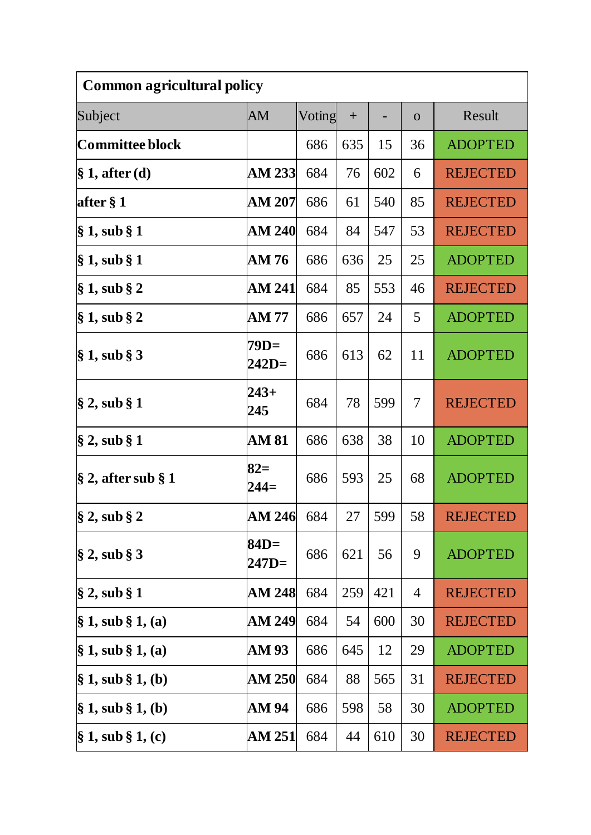| <b>Common agricultural policy</b> |                 |        |     |     |              |                 |  |
|-----------------------------------|-----------------|--------|-----|-----|--------------|-----------------|--|
| Subject                           | AM              | Voting | $+$ |     | $\mathbf{O}$ | Result          |  |
| Committee block                   |                 | 686    | 635 | 15  | 36           | <b>ADOPTED</b>  |  |
| $\S 1$ , after (d)                | AM 233          | 684    | 76  | 602 | 6            | <b>REJECTED</b> |  |
| after § 1                         | <b>AM 207</b>   | 686    | 61  | 540 | 85           | <b>REJECTED</b> |  |
| $\S 1$ , sub $\S 1$               | <b>AM 240</b>   | 684    | 84  | 547 | 53           | <b>REJECTED</b> |  |
| § 1, sub § 1                      | AM 76           | 686    | 636 | 25  | 25           | <b>ADOPTED</b>  |  |
| $\S 1$ , sub $\S 2$               | AM 241          | 684    | 85  | 553 | 46           | <b>REJECTED</b> |  |
| $\S 1$ , sub $\S 2$               | AM 77           | 686    | 657 | 24  | 5            | <b>ADOPTED</b>  |  |
| $\S 1$ , sub $\S 3$               | 79D=<br>$242D=$ | 686    | 613 | 62  | 11           | <b>ADOPTED</b>  |  |
| $\S 2$ , sub $\S 1$               | $243+$<br>245   | 684    | 78  | 599 | 7            | <b>REJECTED</b> |  |
| $\S 2$ , sub $\S 1$               | <b>AM 81</b>    | 686    | 638 | 38  | 10           | <b>ADOPTED</b>  |  |
| $\S$ 2, after sub $\S$ 1          | $82=$<br>$244=$ | 686    | 593 | 25  | 68           | <b>ADOPTED</b>  |  |
| $\S 2$ , sub $\S 2$               | AM 246          | 684    | 27  | 599 | 58           | <b>REJECTED</b> |  |
| $\S 2$ , sub $\S 3$               | 84D=<br>$247D=$ | 686    | 621 | 56  | 9            | <b>ADOPTED</b>  |  |
| $\S 2$ , sub $\S 1$               | <b>AM 248</b>   | 684    | 259 | 421 | 4            | <b>REJECTED</b> |  |
| $\S 1$ , sub $\S 1$ , (a)         | AM 249          | 684    | 54  | 600 | 30           | <b>REJECTED</b> |  |
| $\S 1$ , sub $\S 1$ , (a)         | AM 93           | 686    | 645 | 12  | 29           | <b>ADOPTED</b>  |  |
| $\S 1$ , sub $\S 1$ , (b)         | AM 250          | 684    | 88  | 565 | 31           | <b>REJECTED</b> |  |
| $\S 1$ , sub $\S 1$ , (b)         | AM 94           | 686    | 598 | 58  | 30           | <b>ADOPTED</b>  |  |
| $\S 1$ , sub $\S 1$ , (c)         | AM 251          | 684    | 44  | 610 | 30           | <b>REJECTED</b> |  |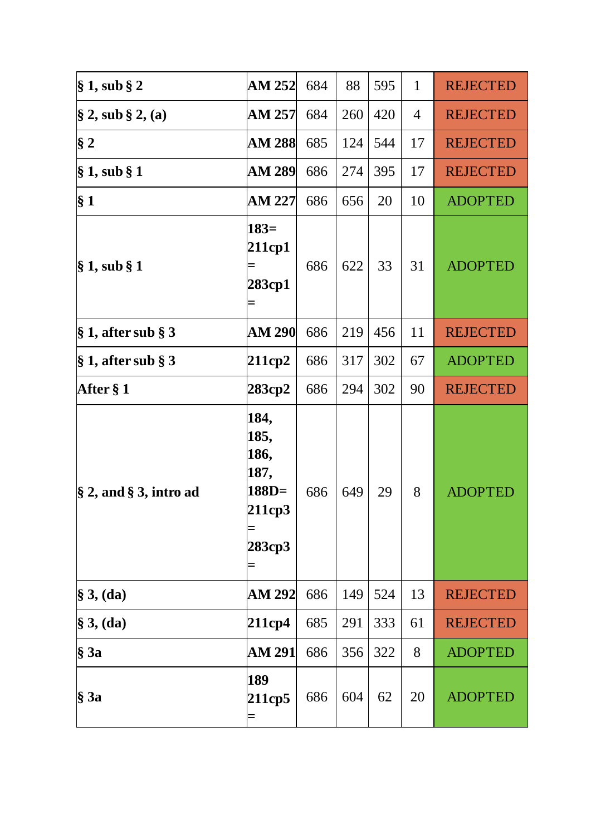| $\S 1$ , sub $\S 2$          | AM 252                                                      | 684 | 88  | 595 | $\mathbf{1}$ | <b>REJECTED</b> |
|------------------------------|-------------------------------------------------------------|-----|-----|-----|--------------|-----------------|
| $\S 2$ , sub $\S 2$ , (a)    | AM 257                                                      | 684 | 260 | 420 | 4            | <b>REJECTED</b> |
| $\S 2$                       | <b>AM 288</b>                                               | 685 | 124 | 544 | 17           | <b>REJECTED</b> |
| $\S 1$ , sub $\S 1$          | AM 289                                                      | 686 | 274 | 395 | 17           | <b>REJECTED</b> |
| $\S 1$                       | AM 227                                                      | 686 | 656 | 20  | 10           | <b>ADOPTED</b>  |
| $\S 1$ , sub $\S 1$          | $183=$<br>211cp1<br>283ср1                                  | 686 | 622 | 33  | 31           | <b>ADOPTED</b>  |
| $\S 1$ , after sub $\S 3$    | <b>AM 290</b>                                               | 686 | 219 | 456 | 11           | <b>REJECTED</b> |
| $\S 1$ , after sub $\S 3$    | 211cp2                                                      | 686 | 317 | 302 | 67           | <b>ADOPTED</b>  |
| After § 1                    | 283cp2                                                      | 686 | 294 | 302 | 90           | <b>REJECTED</b> |
| $\S$ 2, and $\S$ 3, intro ad | 184,<br>185,<br>186,<br>187,<br>$188D=$<br>211cp3<br>283cp3 | 686 | 649 | 29  | 8            | <b>ADOPTED</b>  |
| $§$ 3, (da)                  | <b>AM 292</b>                                               | 686 | 149 | 524 | 13           | <b>REJECTED</b> |
| $\S$ 3, (da)                 | 211cp4                                                      | 685 | 291 | 333 | 61           | <b>REJECTED</b> |
|                              |                                                             |     |     |     |              |                 |
| $§$ 3a                       | AM 291                                                      | 686 | 356 | 322 | 8            | <b>ADOPTED</b>  |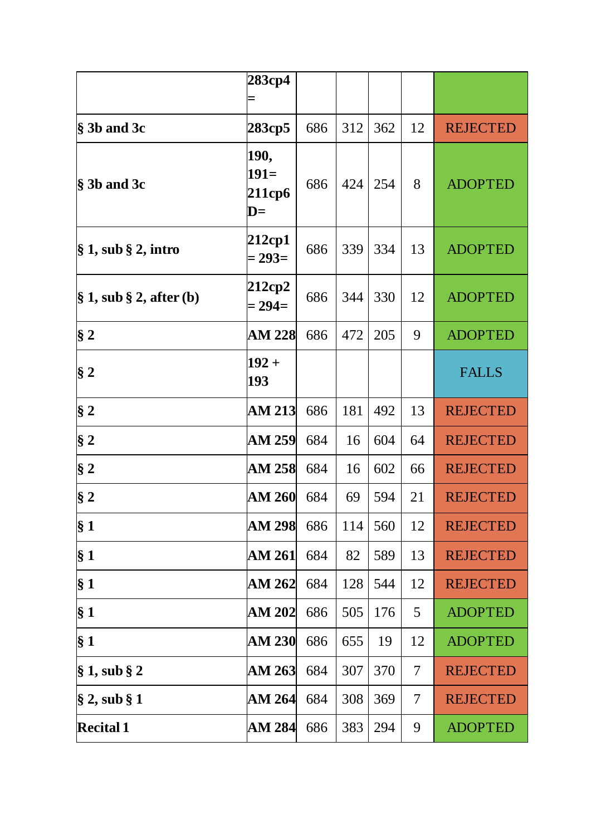|                                 | 283cp4                                     |     |     |     |    |                 |
|---------------------------------|--------------------------------------------|-----|-----|-----|----|-----------------|
|                                 |                                            |     |     |     |    |                 |
| $\S$ 3b and 3c                  | 283cp5                                     | 686 | 312 | 362 | 12 | <b>REJECTED</b> |
| $§$ 3b and 3c                   | 190,<br>$191=$<br>211cp6<br>$\mathbf{D} =$ | 686 | 424 | 254 | 8  | <b>ADOPTED</b>  |
| $\$\,1,$ sub $\S\,2,$ intro     | 212cp1<br>$= 293=$                         | 686 | 339 | 334 | 13 | <b>ADOPTED</b>  |
| $\S 1$ , sub $\S 2$ , after (b) | 212cp2<br>$= 294 =$                        | 686 | 344 | 330 | 12 | <b>ADOPTED</b>  |
| $\S 2$                          | <b>AM 228</b>                              | 686 | 472 | 205 | 9  | <b>ADOPTED</b>  |
| $§$ 2                           | $192 +$<br>193                             |     |     |     |    | <b>FALLS</b>    |
| $\S 2$                          | <b>AM 213</b>                              | 686 | 181 | 492 | 13 | <b>REJECTED</b> |
| $§$ 2                           | AM 259                                     | 684 | 16  | 604 | 64 | <b>REJECTED</b> |
| $\S 2$                          | <b>AM 258</b>                              | 684 | 16  | 602 | 66 | <b>REJECTED</b> |
| § 2                             | <b>AM 260</b>                              | 684 | 69  | 594 | 21 | <b>REJECTED</b> |
| § <sub>1</sub>                  | <b>AM 298</b>                              | 686 | 114 | 560 | 12 | <b>REJECTED</b> |
| § 1                             | AM 261                                     | 684 | 82  | 589 | 13 | <b>REJECTED</b> |
| § <sub>1</sub>                  | AM 262                                     | 684 | 128 | 544 | 12 | <b>REJECTED</b> |
| § 1                             | <b>AM 202</b>                              | 686 | 505 | 176 | 5  | <b>ADOPTED</b>  |
| $\S 1$                          | <b>AM 230</b>                              | 686 | 655 | 19  | 12 | <b>ADOPTED</b>  |
| $\S 1$ , sub $\S 2$             | <b>AM 263</b>                              | 684 | 307 | 370 | 7  | <b>REJECTED</b> |
| $\S 2$ , sub $\S 1$             | <b>AM 264</b>                              | 684 | 308 | 369 | 7  | <b>REJECTED</b> |
| <b>Recital 1</b>                | <b>AM 284</b>                              | 686 | 383 | 294 | 9  | <b>ADOPTED</b>  |